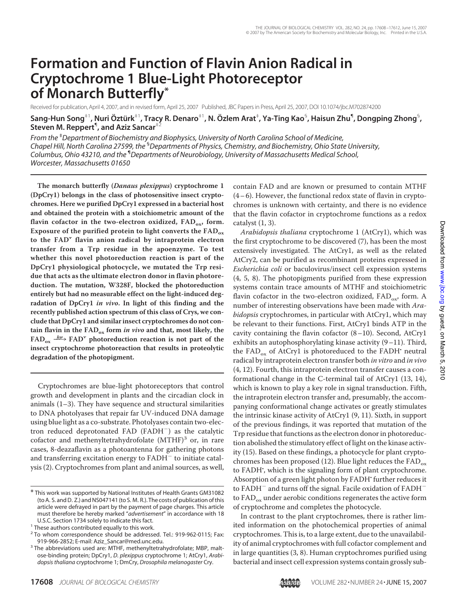# **Formation and Function of Flavin Anion Radical in Cryptochrome 1 Blue-Light Photoreceptor of Monarch Butterfly\***

Received for publication, April 4, 2007, and in revised form, April 25, 2007 Published, JBC Papers in Press, April 25, 2007, DOI 10.1074/jbc.M702874200

 $S$ ang-Hun Song $^{+1}$ , Nuri Öztürk $^{+1}$ , Tracy R. Denaro $^{+1}$ , N. Özlem Arat $^{+}$ , Ya-Ting Kao $^{\mathbb{S}}$ , Haisun Zhu $^{\P}$ , Dongping Zhong $^{\mathbb{S}}$ , **Steven M. Reppert**¶ **, and Aziz Sancar**‡2

*From the* ‡ *Department of Biochemistry and Biophysics, University of North Carolina School of Medicine, Chapel Hill, North Carolina 27599, the* § *Departments of Physics, Chemistry, and Biochemistry, Ohio State University, Columbus, Ohio 43210, and the* ¶ *Departments of Neurobiology, University of Massachusetts Medical School, Worcester, Massachusetts 01650*

**The monarch butterfly (Danaus plexippus) cryptochrome 1 (DpCry1) belongs in the class of photosensitive insect cryptochromes. Here we purified DpCry1 expressed in a bacterial host and obtained the protein with a stoichiometric amount of the** flavin cofactor in the two-electron oxidized, FAD<sub>ox</sub>, form. **Exposure of the purified protein to light converts the FADox to the FAD. flavin anion radical by intraprotein electron transfer from a Trp residue in the apoenzyme. To test whether this novel photoreduction reaction is part of the DpCry1 physiological photocycle, we mutated the Trp residue that acts as the ultimate electron donor in flavin photoreduction. The mutation, W328F, blocked the photoreduction entirely but had no measurable effect on the light-induced degradation of DpCry1 in vivo. In light of this finding and the recently published action spectrum of this class of Crys, we conclude that DpCry1 and similar insect cryptochromes do not contain flavin in the FADox form in vivo and that, most likely, the**  $FAD_{ox}$   $\xrightarrow{h\nu} FAD^{\dagger}$  photoreduction reaction is not part of the **insect cryptochrome photoreaction that results in proteolytic degradation of the photopigment.**

Cryptochromes are blue-light photoreceptors that control growth and development in plants and the circadian clock in animals (1–3). They have sequence and structural similarities to DNA photolyases that repair far UV-induced DNA damage using blue light as a co-substrate. Photolyases contain two-electron reduced deprotonated FAD (FADH<sup>-</sup>) as the catalytic cofactor and methenyltetrahydrofolate  $(MTHF)^3$  or, in rare cases, 8-deazaflavin as a photoantenna for gathering photons and transferring excitation energy to  $FADH^-$  to initiate catalysis (2). Cryptochromes from plant and animal sources, as well, contain FAD and are known or presumed to contain MTHF  $(4-6)$ . However, the functional redox state of flavin in cryptochromes is unknown with certainty, and there is no evidence that the flavin cofactor in cryptochrome functions as a redox catalyst (1, 3).

Arabidopsis thaliana cryptochrome 1 (AtCry1), which was the first cryptochrome to be discovered (7), has been the most extensively investigated. The AtCry1, as well as the related AtCry2, can be purified as recombinant proteins expressed in Escherichia coli or baculovirus/insect cell expression systems (4, 5, 8). The photopigments purified from these expression systems contain trace amounts of MTHF and stoichiometric flavin cofactor in the two-electron oxidized,  $FAD_{ox}$ , form. A number of interesting observations have been made with Arabidopsis cryptochromes, in particular with AtCry1, which may be relevant to their functions. First, AtCry1 binds ATP in the cavity containing the flavin cofactor (8–10). Second, AtCry1 exhibits an autophosphorylating kinase activity (9–11). Third, the FAD<sub>ox</sub> of AtCry1 is photoreduced to the FADH<sup> $\cdot$ </sup> neutral radical by intraprotein electron transfer both in vitro and in vivo (4, 12). Fourth, this intraprotein electron transfer causes a conformational change in the C-terminal tail of AtCry1 (13, 14), which is known to play a key role in signal transduction. Fifth, the intraprotein electron transfer and, presumably, the accompanying conformational change activates or greatly stimulates the intrinsic kinase activity of AtCry1 (9, 11). Sixth, in support of the previous findings, it was reported that mutation of the Trp residue that functions as the electron donor in photoreduction abolished the stimulatory effect of light on the kinase activity (15). Based on these findings, a photocycle for plant cryptochromes has been proposed (12). Blue light reduces the  $FAD_{ox}$ to FADH', which is the signaling form of plant cryptochrome. Absorption of a green light photon by FADH' further reduces it to FADH<sup>-</sup> and turns off the signal. Facile oxidation of FADH<sup>-</sup> to  $FAD_{ox}$  under aerobic conditions regenerates the active form of cryptochrome and completes the photocycle.

<sup>\*</sup> This work was supported by National Institutes of Health Grants GM31082 (to A. S. and D. Z.) and NS047141(to S. M. R.). The costs of publication of this article were defrayed in part by the payment of page charges. This article must therefore be hereby marked "*advertisement*" in accordance with 18

U.S.C. Section 1734 solely to indicate this fact. <sup>1</sup> These authors contributed equally to this work.

<sup>2</sup> To whom correspondence should be addressed. Tel.: 919-962-0115; Fax:

<sup>919-966-2852;</sup> E-mail: Aziz\_Sancar@med.unc.edu.<br><sup>3</sup> The abbreviations used are: MTHF, methenyltetrahydrofolate; MBP, maltose-binding protein; DpCry1, *D. plexippus* cryptochrome 1; AtCry1, *Arabidopsis thaliana* cryptochrome 1; DmCry, *Drosophila melanogaster* Cry.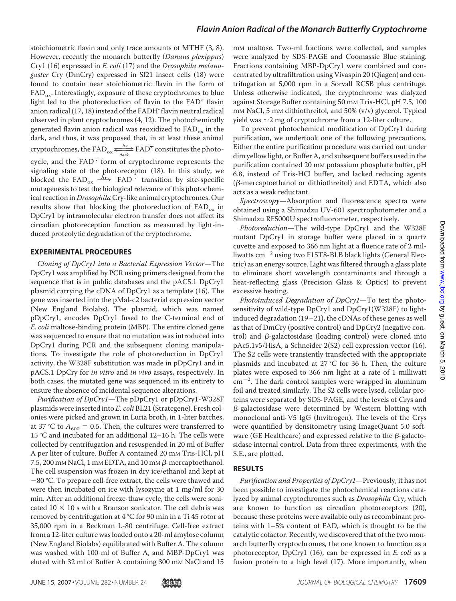## *Flavin Anion Radical of the Monarch Butterfly Cryptochrome*

stoichiometric flavin and only trace amounts of MTHF (3, 8). However, recently the monarch butterfly (Danaus plexippus) Cry1 (16) expressed in E. coli (17) and the Drosophila melanogaster Cry (DmCry) expressed in Sf21 insect cells (18) were found to contain near stoichiometric flavin in the form of  $FAD_{ox}$ . Interestingly, exposure of these cryptochromes to blue light led to the photoreduction of flavin to the  $FAD<sup>-</sup>$  flavin anion radical (17, 18) instead of the FADH' flavin neutral radical observed in plant cryptochromes (4, 12). The photochemically generated flavin anion radical was reoxidized to  $FAD_{ox}$  in the dark, and thus, it was proposed that, in at least these animal dark, and thus, it was proposed<br>cryptochromes, the FAD<sub>ox</sub>  $\frac{hv}{dark}$  $h\nu$  $\frac{hv}{dark}$  FAD<sup>-</sup> constitutes the photocycle, and the  $FAD^T$  form of cryptochrome represents the signaling state of the photoreceptor (18). In this study, we blocked the  $FAD_{ox} \xrightarrow{hv} FAD \overline{t}$  transition by site-specific mutagenesis to test the biological relevance of this photochemical reaction in *Drosophila* Cry-like animal cryptochromes. Our results show that blocking the photoreduction of  $FAD_{ox}$  in DpCry1 by intramolecular electron transfer does not affect its circadian photoreception function as measured by light-induced proteolytic degradation of the cryptochrome.

#### **EXPERIMENTAL PROCEDURES**

Cloning of DpCry1 into a Bacterial Expression Vector—The DpCry1 was amplified by PCR using primers designed from the sequence that is in public databases and the pAC5.1 DpCry1 plasmid carrying the cDNA of DpCry1 as a template (16). The gene was inserted into the pMal-c2 bacterial expression vector (New England Biolabs). The plasmid, which was named pDpCry1, encodes DpCry1 fused to the C-terminal end of E. coli maltose-binding protein (MBP). The entire cloned gene was sequenced to ensure that no mutation was introduced into DpCry1 during PCR and the subsequent cloning manipulations. To investigate the role of photoreduction in DpCry1 activity, the W328F substitution was made in pDpCry1 and in pACS.1 DpCry for in vitro and in vivo assays, respectively. In both cases, the mutated gene was sequenced in its entirety to ensure the absence of incidental sequence alterations.

Purification of DpCry1—The pDpCry1 or pDpCry1-W328F plasmids were inserted into E. coli BL21 (Strategene). Fresh colonies were picked and grown in Luria broth, in 1-liter batches, at 37 °C to  $A_{600} = 0.5$ . Then, the cultures were transferred to 15 °C and incubated for an additional 12–16 h. The cells were collected by centrifugation and resuspended in 20 ml of Buffer A per liter of culture. Buffer A contained 20 mm Tris-HCl, pH 7.5, 200 mm NaCl, 1 mm EDTA, and 10 mm  $\beta$ -mercaptoethanol. The cell suspension was frozen in dry ice/ethanol and kept at  $-80$  °C. To prepare cell-free extract, the cells were thawed and were then incubated on ice with lysozyme at 1 mg/ml for 30 min. After an additional freeze-thaw cycle, the cells were sonicated 10  $\times$  10 s with a Branson sonicator. The cell debris was removed by centrifugation at 4 °C for 90 min in a Ti 45 rotor at 35,000 rpm in a Beckman L-80 centrifuge. Cell-free extract from a 12-liter culture was loaded onto a 20-ml amylose column (New England Biolabs) equilibrated with Buffer A. The column was washed with 100 ml of Buffer A, and MBP-DpCry1 was eluted with 32 ml of Buffer A containing 300 mm NaCl and 15

m<sub>M</sub> maltose. Two-ml fractions were collected, and samples were analyzed by SDS-PAGE and Coomassie Blue staining. Fractions containing MBP-DpCry1 were combined and concentrated by ultrafiltration using Vivaspin 20 (Qiagen) and centrifugation at 5,000 rpm in a Sorvall RC5B plus centrifuge. Unless otherwise indicated, the cryptochrome was dialyzed against Storage Buffer containing 50 mM Tris-HCl, pH 7.5, 100 m<sub>M</sub> NaCl, 5 m<sub>M</sub> dithiothreitol, and 50% (v/v) glycerol. Typical yield was  $\sim$ 2 mg of cryptochrome from a 12-liter culture.

To prevent photochemical modification of DpCry1 during purification, we undertook one of the following precautions. Either the entire purification procedure was carried out under dim yellow light, or Buffer A, and subsequent buffers used in the purification contained 20 mm potassium phosphate buffer, pH 6.8, instead of Tris-HCl buffer, and lacked reducing agents ( $\beta$ -mercaptoethanol or dithiothreitol) and EDTA, which also acts as a weak reductant.

Spectroscopy—Absorption and fluorescence spectra were obtained using a Shimadzu UV-601 spectrophotometer and a Shimadzu RF5000U spectrofluorometer, respectively.

Photoreduction—The wild-type DpCry1 and the W328F mutant DpCry1 in storage buffer were placed in a quartz cuvette and exposed to 366 nm light at a fluence rate of 2 milliwatts  $cm^{-2}$  using two F15T8-BLB black lights (General Electric) as an energy source. Light was filtered through a glass plate to eliminate short wavelength contaminants and through a heat-reflecting glass (Precision Glass & Optics) to prevent excessive heating.

Photoinduced Degradation of DpCry1-To test the photosensitivity of wild-type DpCry1 and DpCry1(W328F) to lightinduced degradation (19–21), the cDNAs of these genes as well as that of DmCry (positive control) and DpCry2 (negative control) and  $\beta$ -galactosidase (loading control) were cloned into pAc5.1v5/HisA, a Schneider 2(S2) cell expression vector (16). The S2 cells were transiently transfected with the appropriate plasmids and incubated at 27 °C for 36 h. Then, the culture plates were exposed to 366 nm light at a rate of 1 milliwatt  $\rm cm^{-2}$ . The dark control samples were wrapped in aluminum foil and treated similarly. The S2 cells were lysed, cellular proteins were separated by SDS-PAGE, and the levels of Crys and  $\beta$ -galactosidase were determined by Western blotting with monoclonal anti-V5 IgG (Invitrogen). The levels of the Crys were quantified by densitometry using ImageQuant 5.0 software (GE Healthcare) and expressed relative to the  $\beta$ -galactosidase internal control. Data from three experiments, with the S.E., are plotted.

## **RESULTS**

Purification and Properties of DpCry1—Previously, it has not been possible to investigate the photochemical reactions catalyzed by animal cryptochromes such as Drosophila Cry, which are known to function as circadian photoreceptors (20), because these proteins were available only as recombinant proteins with 1–5% content of FAD, which is thought to be the catalytic cofactor. Recently, we discovered that of the two monarch butterfly cryptochromes, the one known to function as a photoreceptor, DpCry1 (16), can be expressed in E. coli as a fusion protein to a high level (17). More importantly, when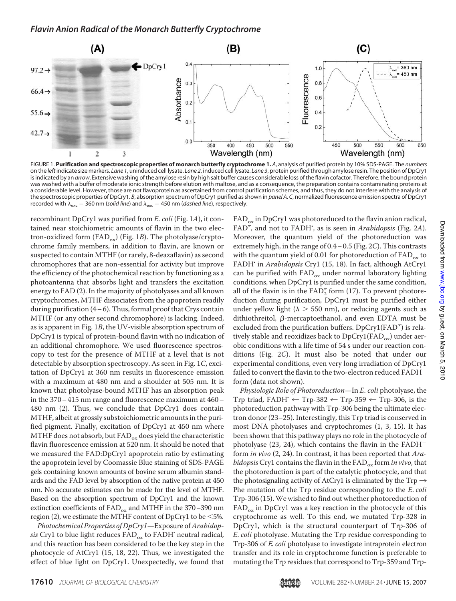

FIGURE 1. **Purification and spectroscopic properties of monarch butterfly cryptochrome 1.** *A*, analysis of purified protein by 10% SDS-PAGE. The *numbers* on the *left*indicate size markers. *Lane 1*, uninduced cell lysate. *Lane 2*, induced cell lysate. *Lane 3*, protein purified through amylose resin. The position of DpCry1 is indicated by an arrow. Extensive washing of the amylose resin by high salt buffer causes considerable loss of the flavin cofactor. Therefore, the bound protein was washed with a buffer of moderate ionic strength before elution with maltose, and as a consequence, the preparation contains contaminating proteins at a considerable level. However, those are not flavoprotein as ascertained from control purification schemes, and thus, they do not interfere with the analysis of the spectroscopic properties of DpCry1. *B*, absorption spectrum of DpCry1 purified as shown in *panel A*. *C*, normalized fluorescence emission spectra of DpCry1 recorded with  $\lambda_{\text{exc}} = 360$  nm (*solid line*) and  $\lambda_{\text{exc}} = 450$  nm (*dashed line*), respectively.

recombinant DpCry1 was purified from E. coli (Fig. 1A), it contained near stoichiometric amounts of flavin in the two electron-oxidized form (FAD<sub>ox</sub>) (Fig. 1B). The photolyase/cryptochrome family members, in addition to flavin, are known or suspected to contain MTHF (or rarely, 8-deazaflavin) as second chromophores that are non-essential for activity but improve the efficiency of the photochemical reaction by functioning as a photoantenna that absorbs light and transfers the excitation energy to FAD (2). In the majority of photolyases and all known cryptochromes, MTHF dissociates from the apoprotein readily during purification  $(4-6)$ . Thus, formal proof that Crys contain MTHF (or any other second chromophore) is lacking. Indeed, as is apparent in Fig. 1B, the UV-visible absorption spectrum of DpCry1 is typical of protein-bound flavin with no indication of an additional chromophore. We used fluorescence spectroscopy to test for the presence of MTHF at a level that is not detectable by absorption spectroscopy. As seen in Fig. 1C, excitation of DpCry1 at 360 nm results in fluorescence emission with a maximum at 480 nm and a shoulder at 505 nm. It is known that photolyase-bound MTHF has an absorption peak in the 370– 415 nm range and fluorescence maximum at 460– 480 nm (2). Thus, we conclude that DpCry1 does contain MTHF, albeit at grossly substoichiometric amounts in the purified pigment. Finally, excitation of DpCry1 at 450 nm where MTHF does not absorb, but  $FAD_{ox}$  does yield the characteristic flavin fluorescence emission at 520 nm. It should be noted that we measured the FAD:DpCry1 apoprotein ratio by estimating the apoprotein level by Coomassie Blue staining of SDS-PAGE gels containing known amounts of bovine serum albumin standards and the FAD level by absorption of the native protein at 450 nm. No accurate estimates can be made for the level of MTHF. Based on the absorption spectrum of DpCry1 and the known extinction coefficients of  $FAD_{ox}$  and MTHF in the 370–390 nm region (2), we estimate the MTHF content of DpCry1 to be  $\leq 5\%$ .

Photochemical Properties of DpCry1-Exposure of Arabidopsis Cry1 to blue light reduces  $FAD_{ox}$  to  $FADH$ <sup>.</sup> neutral radical, and this reaction has been considered to be the key step in the photocycle of AtCry1 (15, 18, 22). Thus, we investigated the effect of blue light on DpCry1. Unexpectedly, we found that

 $FAD_{ox}$  in DpCry1 was photoreduced to the flavin anion radical,  $FAD^{\pm}$ , and not to FADH, as is seen in Arabidopsis (Fig. 2A). Moreover, the quantum yield of the photoreduction was extremely high, in the range of 0.4– 0.5 (Fig. 2C). This contrasts with the quantum yield of 0.01 for photoreduction of  $FAD_{ox}$  to FADH' in Arabidopsis Cry1 (15, 18). In fact, although AtCry1 can be purified with  $FAD_{ox}$  under normal laboratory lighting conditions, when DpCry1 is purified under the same condition, all of the flavin is in the  $FAD_2^-$  form (17). To prevent photoreduction during purification, DpCry1 must be purified either under yellow light ( $\lambda > 550$  nm), or reducing agents such as dithiothreitol,  $\beta$ -mercaptoethanol, and even EDTA must be excluded from the purification buffers. DpCry1(FAD<sup>-</sup>) is relatively stable and reoxidizes back to  $DpCry1(FAD_{ox})$  under aerobic conditions with a life time of 54 s under our reaction conditions (Fig. 2C). It must also be noted that under our experimental conditions, even very long irradiation of DpCry1 failed to convert the flavin to the two-electron reduced FADH<sup>-</sup> form (data not shown).

Physiologic Role of Photoreduction—In E. coli photolyase, the Trp triad, FADH'  $\leftarrow$  Trp-382  $\leftarrow$  Trp-359  $\leftarrow$  Trp-306, is the photoreduction pathway with Trp-306 being the ultimate electron donor (23–25). Interestingly, this Trp triad is conserved in most DNA photolyases and cryptochromes (1, 3, 15). It has been shown that this pathway plays no role in the photocycle of photolyase  $(23, 24)$ , which contains the flavin in the FADH<sup>-</sup> form in vivo (2, 24). In contrast, it has been reported that Arabidopsis Cry1 contains the flavin in the  $FAD_{ox}$  form in vivo, that the photoreduction is part of the catalytic photocycle, and that the photosignaling activity of AtCry1 is eliminated by the  $Trp \rightarrow$ Phe mutation of the Trp residue corresponding to the E. coli Trp-306 (15).We wished to find out whether photoreduction of  $FAD_{ox}$  in DpCry1 was a key reaction in the photocycle of this cryptochrome as well. To this end, we mutated Trp-328 in DpCry1, which is the structural counterpart of Trp-306 of E. coli photolyase. Mutating the Trp residue corresponding to Trp-306 of E. coli photolyase to investigate intraprotein electron transfer and its role in cryptochrome function is preferable to mutating the Trp residues that correspond to Trp-359 and Trp-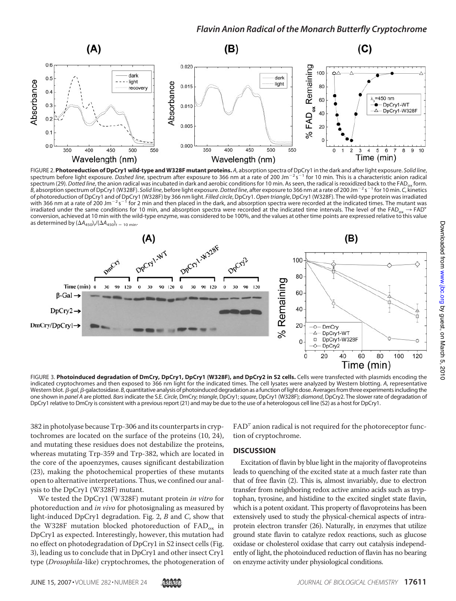

FIGURE 2. **Photoreduction of DpCry1 wild-type and W328F mutant proteins.** *A*, absorption spectra of DpCry1 in the dark and after light exposure. *Solid line*, spectrum before light exposure. *Dashed line*, spectrum after exposure to 366 nm at a rate of 200 Jm<sup>-2</sup> s<sup>-1</sup> for 10 min. This is a characteristic anion radical spectrum (29). *Dotted line*, the anion radical was incubated in dark and aerobic conditions for 10 min. As seen, the radical is reoxidized back to the FAD<sub>ox</sub> form. *B*, absorption spectrum of DpCry1 (W328F). *Solid line*, before light exposure.*Dotted line*, after exposure to 366 nm at a rate of 200 Jm!<sup>2</sup> s !<sup>1</sup> for 10 min. *C*, kinetics of photoreduction of DpCry1 and of DpCry1 (W328F) by 366 nm light. *Filled circle,* DpCry1. *Open triangle,* DpCry1 (W328F). The wild-type protein was irradiated<br>with 366 nm at a rate of 200 Jm<sup>−2</sup> s<sup>−1</sup> for 2 min and then irradiated under the same conditions for 10 min, and absorption spectra were recorded at the indicated time intervals. The level of the FAD<sub>ox</sub>  $\rightarrow$  FAD<sup>-</sup> conversion, achieved at 10 min with the wild-type enzyme, was considered to be 100%, and the values at other time points are expressed relative to this value as determined by  $(\Delta A_{450})_t/(\Delta A_{450})_t$  = 10 min<sup>.</sup>



FIGURE 3. **Photoinduced degradation of DmCry, DpCry1, DpCry1 (W328F), and DpCry2 in S2 cells.** Cells were transfected with plasmids encoding the indicated cryptochromes and then exposed to 366 nm light for the indicated times. The cell lysates were analyzed by Western blotting. *A*, representative Western blot. *B-gal*, *B-galactosidase. B*, quantitative analysis of photoinduced degradation as a function of light dose. Averages from three experiments including the one shown in *panel A* are plotted. *Bars*indicate the S.E. *Circle*, DmCry; *triangle*, DpCry1;*square*, DpCry1 (W328F); *diamond*, DpCry2. The slower rate of degradation of DpCry1 relative to DmCry is consistent with a previous report (21) and may be due to the use of a heterologous cell line (S2) as a host for DpCry1.

382 in photolyase because Trp-306 and its counterparts in cryptochromes are located on the surface of the proteins (10, 24), and mutating these residues does not destabilize the proteins, whereas mutating Trp-359 and Trp-382, which are located in the core of the apoenzymes, causes significant destabilization (23), making the photochemical properties of these mutants open to alternative interpretations. Thus, we confined our analysis to the DpCry1 (W328F) mutant.

We tested the DpCry1 (W328F) mutant protein in vitro for photoreduction and in vivo for photosignaling as measured by light-induced  $DpCry1$  degradation. Fig. 2, B and C, show that the W328F mutation blocked photoreduction of  $FAD_{ox}$  in DpCry1 as expected. Interestingly, however, this mutation had no effect on photodegradation of DpCry1 in S2 insect cells (Fig. 3), leading us to conclude that in DpCry1 and other insect Cry1 type (Drosophila-like) cryptochromes, the photogeneration of  $FAD<sup>-</sup>$  anion radical is not required for the photoreceptor function of cryptochrome.

## **DISCUSSION**

Excitation of flavin by blue light in the majority of flavoproteins leads to quenching of the excited state at a much faster rate than that of free flavin (2). This is, almost invariably, due to electron transfer from neighboring redox active amino acids such as tryptophan, tyrosine, and histidine to the excited singlet state flavin, which is a potent oxidant. This property of flavoproteins has been extensively used to study the physical-chemical aspects of intraprotein electron transfer (26). Naturally, in enzymes that utilize ground state flavin to catalyze redox reactions, such as glucose oxidase or cholesterol oxidase that carry out catalysis independently of light, the photoinduced reduction of flavin has no bearing on enzyme activity under physiological conditions.